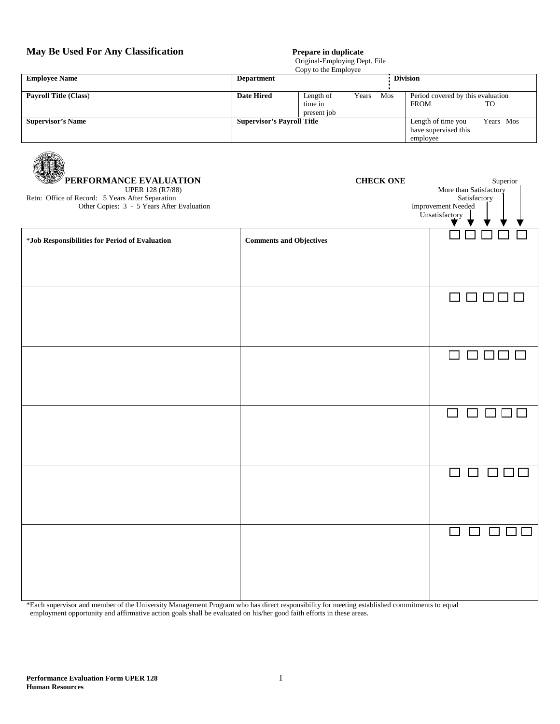## **May Be Used For Any Classification Prepare in duplicate**

AR R

## Original-Employing Dept. File

|                              | Copy to the Employee              |             |       |                    |                                   |    |
|------------------------------|-----------------------------------|-------------|-------|--------------------|-----------------------------------|----|
| <b>Employee Name</b>         | <b>Department</b>                 |             |       |                    | <b>Division</b>                   |    |
|                              |                                   |             |       |                    |                                   |    |
| <b>Payroll Title (Class)</b> | <b>Date Hired</b>                 | Length of   | Years | Mos                | Period covered by this evaluation |    |
|                              |                                   | time in     |       |                    | <b>FROM</b>                       | TO |
|                              |                                   | present job |       |                    |                                   |    |
| <b>Supervisor's Name</b>     | <b>Supervisor's Payroll Title</b> |             |       | Length of time you | Years Mos                         |    |
|                              |                                   |             |       |                    | have supervised this              |    |
|                              |                                   |             |       |                    | employee                          |    |

| PERFORMANCE EVALUATION<br><b>UPER 128 (R7/88)</b><br>Retn: Office of Record: 5 Years After Separation<br>Other Copies: 3 - 5 Years After Evaluation | <b>CHECK ONE</b>               | Superior<br>More than Satisfactory<br>Satisfactory<br><b>Improvement Needed</b><br>Unsatisfactory<br>$\begin{picture}(160,17)(-0,0) \put(0,0){\line(0,1){10}} \put(15,0){\line(0,1){10}} \put(15,0){\line(0,1){10}} \put(15,0){\line(0,1){10}} \put(15,0){\line(0,1){10}} \put(15,0){\line(0,1){10}} \put(15,0){\line(0,1){10}} \put(15,0){\line(0,1){10}} \put(15,0){\line(0,1){10}} \put(15,0){\line(0,1){10}} \put(15,0){\line(0,1){10}} \put(15,$ |
|-----------------------------------------------------------------------------------------------------------------------------------------------------|--------------------------------|-------------------------------------------------------------------------------------------------------------------------------------------------------------------------------------------------------------------------------------------------------------------------------------------------------------------------------------------------------------------------------------------------------------------------------------------------------|
| *Job Responsibilities for Period of Evaluation                                                                                                      | <b>Comments and Objectives</b> |                                                                                                                                                                                                                                                                                                                                                                                                                                                       |
|                                                                                                                                                     |                                | $\Box$ $\Box$ $\Box$ $\Box$                                                                                                                                                                                                                                                                                                                                                                                                                           |
|                                                                                                                                                     |                                | $\Box$ $\Box$                                                                                                                                                                                                                                                                                                                                                                                                                                         |
|                                                                                                                                                     |                                | $\Box$                                                                                                                                                                                                                                                                                                                                                                                                                                                |
|                                                                                                                                                     |                                |                                                                                                                                                                                                                                                                                                                                                                                                                                                       |
|                                                                                                                                                     |                                | $\Box$<br>$\Box$<br>$\Box$ [                                                                                                                                                                                                                                                                                                                                                                                                                          |
|                                                                                                                                                     |                                |                                                                                                                                                                                                                                                                                                                                                                                                                                                       |

\*Each supervisor and member of the University Management Program who has direct responsibility for meeting established commitments to equal employment opportunity and affirmative action goals shall be evaluated on his/her good faith efforts in these areas.